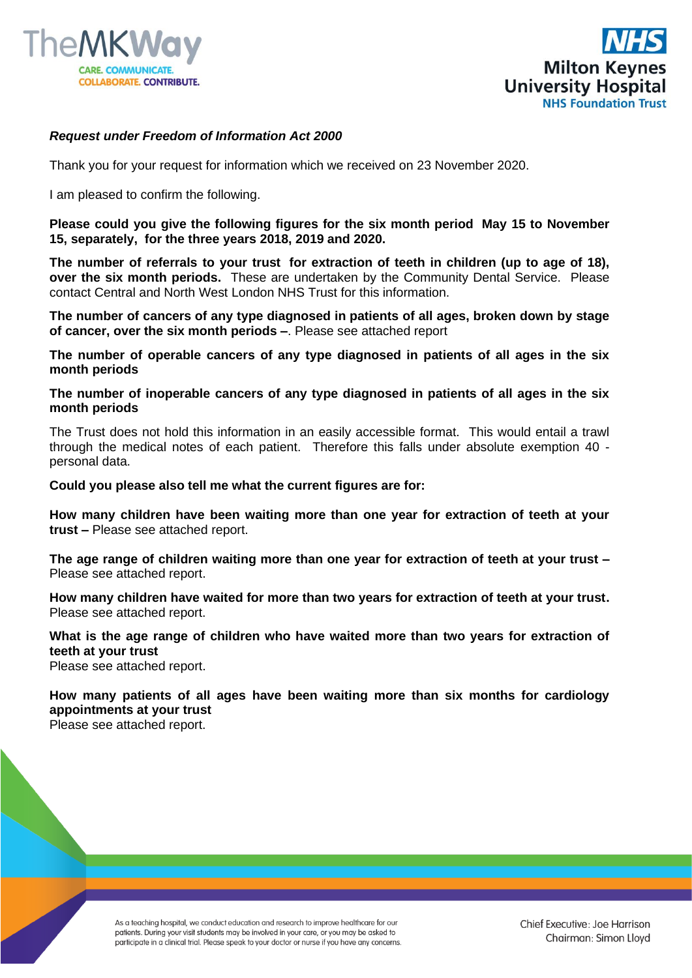



## *Request under Freedom of Information Act 2000*

Thank you for your request for information which we received on 23 November 2020.

I am pleased to confirm the following.

**Please could you give the following figures for the six month period May 15 to November 15, separately, for the three years 2018, 2019 and 2020.**

**The number of referrals to your trust for extraction of teeth in children (up to age of 18), over the six month periods.** These are undertaken by the Community Dental Service. Please contact Central and North West London NHS Trust for this information.

**The number of cancers of any type diagnosed in patients of all ages, broken down by stage of cancer, over the six month periods –**. Please see attached report

**The number of operable cancers of any type diagnosed in patients of all ages in the six month periods**

**The number of inoperable cancers of any type diagnosed in patients of all ages in the six month periods**

The Trust does not hold this information in an easily accessible format. This would entail a trawl through the medical notes of each patient. Therefore this falls under absolute exemption 40 personal data.

**Could you please also tell me what the current figures are for:**

**How many children have been waiting more than one year for extraction of teeth at your trust –** Please see attached report.

**The age range of children waiting more than one year for extraction of teeth at your trust –** Please see attached report.

**How many children have waited for more than two years for extraction of teeth at your trust.**  Please see attached report.

**What is the age range of children who have waited more than two years for extraction of teeth at your trust** Please see attached report.

**How many patients of all ages have been waiting more than six months for cardiology appointments at your trust** Please see attached report.

> As a teaching hospital, we conduct education and research to improve healthcare for our patients. During your visit students may be involved in your care, or you may be asked to participate in a clinical trial. Please speak to your doctor or nurse if you have any concerns.